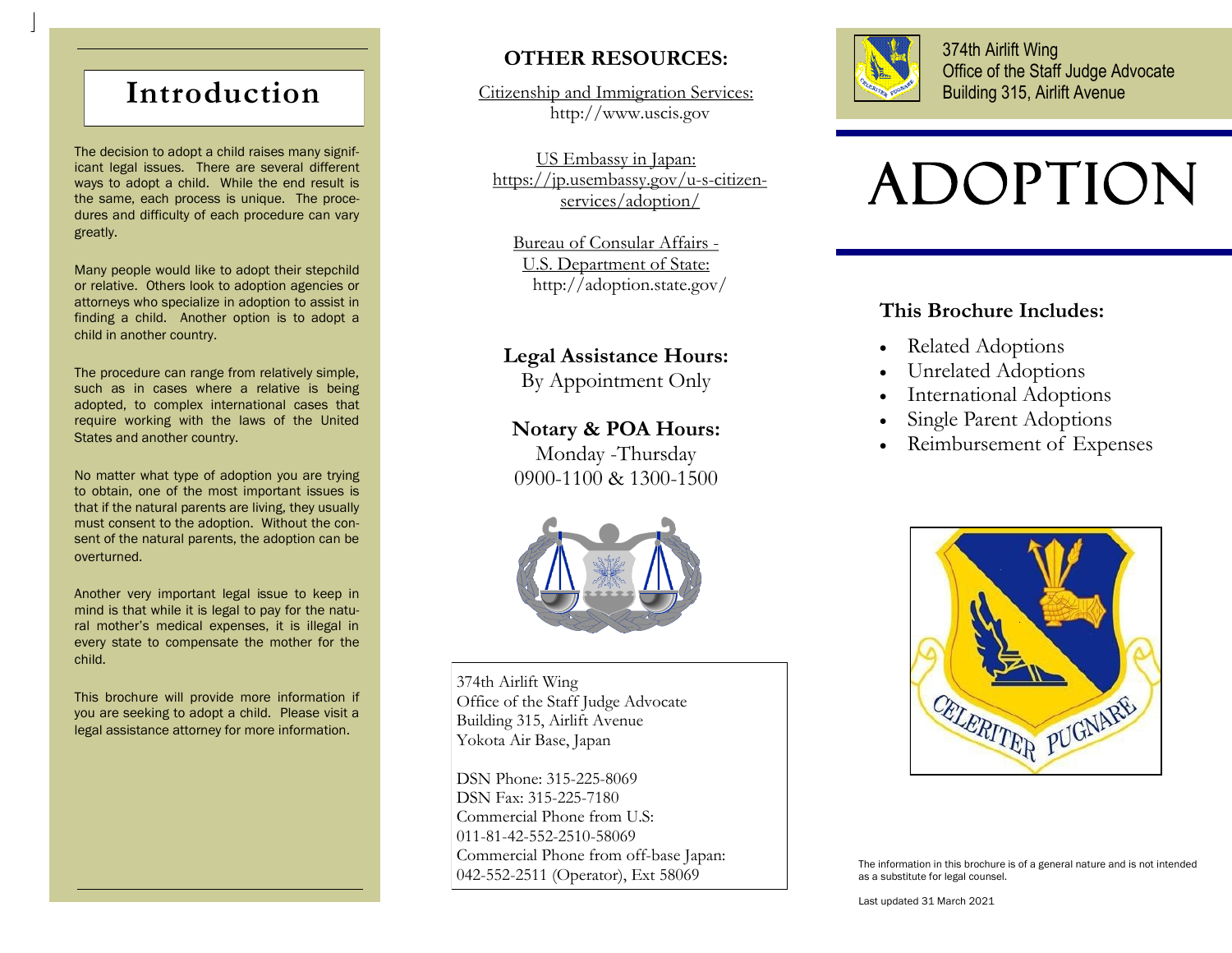# **Introduction**

The decision to adopt a child raises many significant legal issues. There are several different ways to adopt a child. While the end result is the same, each process is unique. The procedures and difficulty of each procedure can vary greatly.

Many people would like to adopt their stepchild or relative. Others look to adoption agencies or attorneys who specialize in adoption to assist in finding a child. Another option is to adopt a child in another country.

The procedure can range from relatively simple, such as in cases where a relative is being adopted, to complex international cases that require working with the laws of the United States and another country.

No matter what type of adoption you are trying to obtain, one of the most important issues is that if the natural parents are living, they usually must consent to the adoption. Without the consent of the natural parents, the adoption can be overturned.

Another very important legal issue to keep in mind is that while it is legal to pay for the natural mother's medical expenses, it is illegal in every state to compensate the mother for the child.

This brochure will provide more information if you are seeking to adopt a child. Please visit a legal assistance attorney for more information.

# **OTHER RESOURCES:**

Citizenship and Immigration Services: http://www.uscis.gov

US Embassy in Japan: https://jp.usembassy.gov/u-s-citizenservices/adoption/

Bureau of Consular Affairs - U.S. Department of State: http://adoption.state.gov/

## **Legal Assistance Hours:**

By Appointment Only

## **Notary & POA Hours:**

Monday -Thursday 0900-1100 & 1300-1500



374th Airlift Wing Office of the Staff Judge Advocate Building 315, Airlift Avenue Yokota Air Base, Japan

DSN Phone: 315-225-8069 DSN Fax: 315-225-7180 Commercial Phone from U.S: 011-81-42-552-2510-58069 Commercial Phone from off-base Japan: 042-552-2511 (Operator), Ext 58069



374th Airlift Wing Office of the Staff Judge Advocate Building 315, Airlift Avenue

# ADOPTION

# **This Brochure Includes:**

- Related Adoptions
- Unrelated Adoptions
- International Adoptions
- Single Parent Adoptions
- Reimbursement of Expenses



The information in this brochure is of a general nature and is not intended as a substitute for legal counsel.